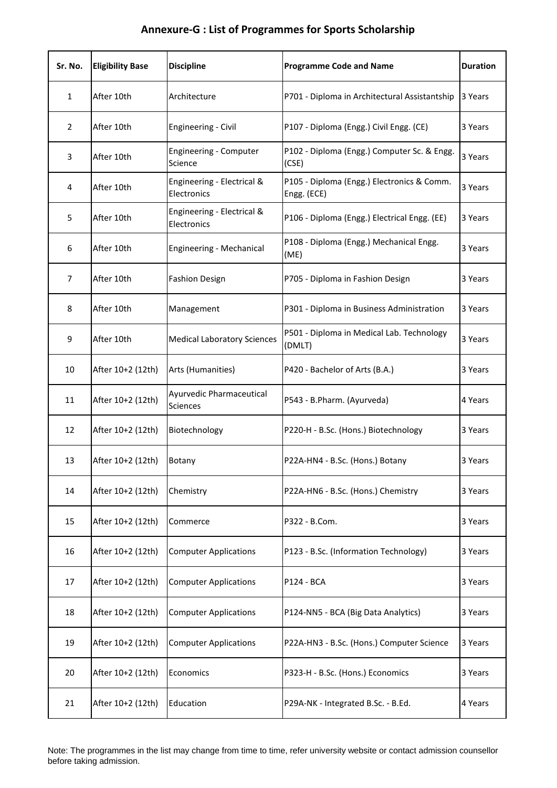| Sr. No.        | <b>Eligibility Base</b> | <b>Discipline</b>                         | <b>Programme Code and Name</b>                            | <b>Duration</b> |
|----------------|-------------------------|-------------------------------------------|-----------------------------------------------------------|-----------------|
| $\mathbf{1}$   | After 10th              | Architecture                              | P701 - Diploma in Architectural Assistantship             | 3 Years         |
| $\overline{2}$ | After 10th              | <b>Engineering - Civil</b>                | P107 - Diploma (Engg.) Civil Engg. (CE)                   | 3 Years         |
| 3              | After 10th              | Engineering - Computer<br>Science         | P102 - Diploma (Engg.) Computer Sc. & Engg.<br>(CSE)      | 3 Years         |
| 4              | After 10th              | Engineering - Electrical &<br>Electronics | P105 - Diploma (Engg.) Electronics & Comm.<br>Engg. (ECE) | 3 Years         |
| 5              | After 10th              | Engineering - Electrical &<br>Electronics | P106 - Diploma (Engg.) Electrical Engg. (EE)              | 3 Years         |
| 6              | After 10th              | Engineering - Mechanical                  | P108 - Diploma (Engg.) Mechanical Engg.<br>(ME)           | 3 Years         |
| $\overline{7}$ | After 10th              | <b>Fashion Design</b>                     | P705 - Diploma in Fashion Design                          | 3 Years         |
| 8              | After 10th              | Management                                | P301 - Diploma in Business Administration                 | 3 Years         |
| 9              | After 10th              | <b>Medical Laboratory Sciences</b>        | P501 - Diploma in Medical Lab. Technology<br>(DMLT)       | 3 Years         |
| 10             | After 10+2 (12th)       | Arts (Humanities)                         | P420 - Bachelor of Arts (B.A.)                            | 3 Years         |
| 11             | After 10+2 (12th)       | Ayurvedic Pharmaceutical<br>Sciences      | P543 - B.Pharm. (Ayurveda)                                | 4 Years         |
| 12             | After 10+2 (12th)       | Biotechnology                             | P220-H - B.Sc. (Hons.) Biotechnology                      | 3 Years         |
| 13             | After 10+2 (12th)       | Botany                                    | P22A-HN4 - B.Sc. (Hons.) Botany                           | 3 Years         |
| 14             | After 10+2 (12th)       | Chemistry                                 | P22A-HN6 - B.Sc. (Hons.) Chemistry                        | 3 Years         |
| 15             | After 10+2 (12th)       | Commerce                                  | P322 - B.Com.                                             | 3 Years         |
| 16             | After 10+2 (12th)       | <b>Computer Applications</b>              | P123 - B.Sc. (Information Technology)                     | 3 Years         |
| 17             | After 10+2 (12th)       | <b>Computer Applications</b>              | P124 - BCA                                                | 3 Years         |
| 18             | After 10+2 (12th)       | <b>Computer Applications</b>              | P124-NN5 - BCA (Big Data Analytics)                       | 3 Years         |
| 19             | After 10+2 (12th)       | <b>Computer Applications</b>              | P22A-HN3 - B.Sc. (Hons.) Computer Science                 | 3 Years         |
| 20             | After 10+2 (12th)       | Economics                                 | P323-H - B.Sc. (Hons.) Economics                          | 3 Years         |
| 21             | After 10+2 (12th)       | Education                                 | P29A-NK - Integrated B.Sc. - B.Ed.                        | 4 Years         |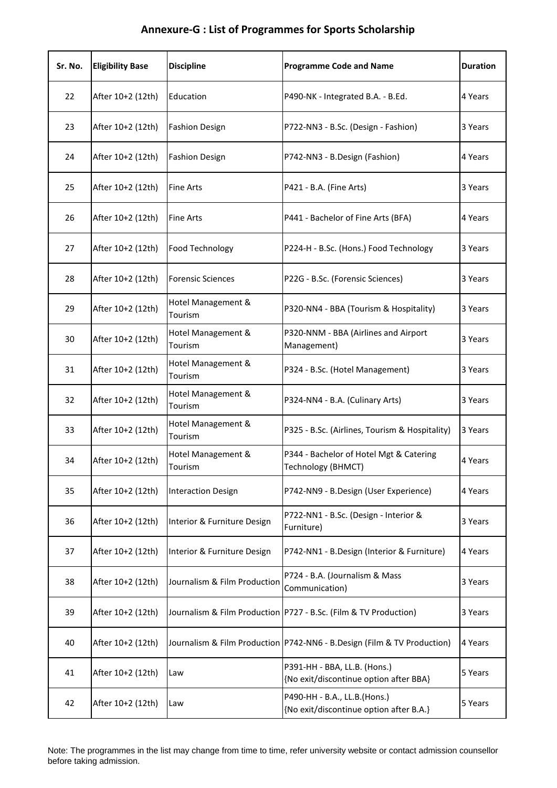| Sr. No. | <b>Eligibility Base</b> | <b>Discipline</b>             | <b>Programme Code and Name</b>                                            | <b>Duration</b> |
|---------|-------------------------|-------------------------------|---------------------------------------------------------------------------|-----------------|
| 22      | After 10+2 (12th)       | Education                     | P490-NK - Integrated B.A. - B.Ed.                                         | 4 Years         |
| 23      | After 10+2 (12th)       | <b>Fashion Design</b>         | P722-NN3 - B.Sc. (Design - Fashion)                                       | 3 Years         |
| 24      | After 10+2 (12th)       | <b>Fashion Design</b>         | P742-NN3 - B.Design (Fashion)                                             | 4 Years         |
| 25      | After 10+2 (12th)       | <b>Fine Arts</b>              | P421 - B.A. (Fine Arts)                                                   | 3 Years         |
| 26      | After 10+2 (12th)       | <b>Fine Arts</b>              | P441 - Bachelor of Fine Arts (BFA)                                        | 4 Years         |
| 27      | After 10+2 (12th)       | Food Technology               | P224-H - B.Sc. (Hons.) Food Technology                                    | 3 Years         |
| 28      | After 10+2 (12th)       | <b>Forensic Sciences</b>      | P22G - B.Sc. (Forensic Sciences)                                          | 3 Years         |
| 29      | After 10+2 (12th)       | Hotel Management &<br>Tourism | P320-NN4 - BBA (Tourism & Hospitality)                                    | 3 Years         |
| 30      | After 10+2 (12th)       | Hotel Management &<br>Tourism | P320-NNM - BBA (Airlines and Airport<br>Management)                       | 3 Years         |
| 31      | After 10+2 (12th)       | Hotel Management &<br>Tourism | P324 - B.Sc. (Hotel Management)                                           | 3 Years         |
| 32      | After 10+2 (12th)       | Hotel Management &<br>Tourism | P324-NN4 - B.A. (Culinary Arts)                                           | 3 Years         |
| 33      | After 10+2 (12th)       | Hotel Management &<br>Tourism | P325 - B.Sc. (Airlines, Tourism & Hospitality)                            | 3 Years         |
| 34      | After 10+2 (12th)       | Hotel Management &<br>Tourism | P344 - Bachelor of Hotel Mgt & Catering<br>Technology (BHMCT)             | 4 Years         |
| 35      | After 10+2 (12th)       | <b>Interaction Design</b>     | P742-NN9 - B.Design (User Experience)                                     | 4 Years         |
| 36      | After 10+2 (12th)       | Interior & Furniture Design   | P722-NN1 - B.Sc. (Design - Interior &<br>Furniture)                       | 3 Years         |
| 37      | After 10+2 (12th)       | Interior & Furniture Design   | P742-NN1 - B.Design (Interior & Furniture)                                | 4 Years         |
| 38      | After 10+2 (12th)       | Journalism & Film Production  | P724 - B.A. (Journalism & Mass<br>Communication)                          | 3 Years         |
| 39      | After 10+2 (12th)       |                               | Journalism & Film Production   P727 - B.Sc. (Film & TV Production)        | 3 Years         |
| 40      | After 10+2 (12th)       |                               | Journalism & Film Production   P742-NN6 - B.Design (Film & TV Production) | 4 Years         |
| 41      | After 10+2 (12th)       | Law                           | P391-HH - BBA, LL.B. (Hons.)<br>{No exit/discontinue option after BBA}    | 5 Years         |
| 42      | After 10+2 (12th)       | Law                           | P490-HH - B.A., LL.B.(Hons.)<br>{No exit/discontinue option after B.A.}   | 5 Years         |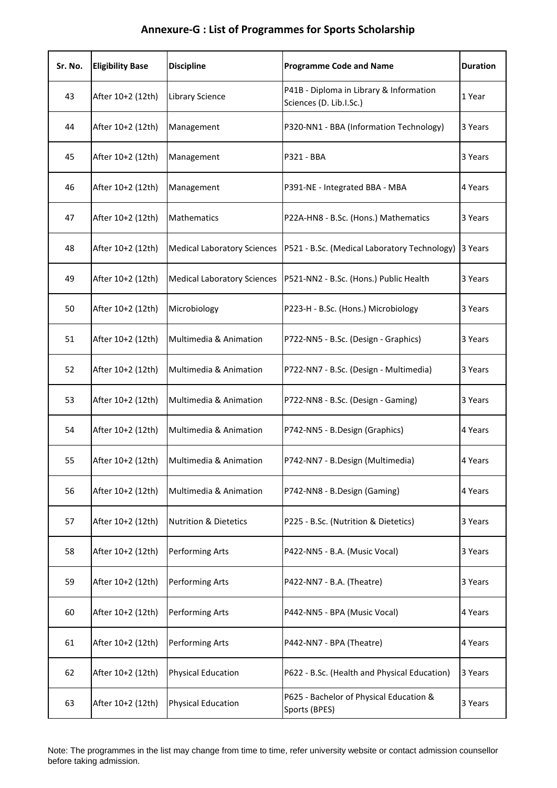| Sr. No. | <b>Eligibility Base</b> | <b>Discipline</b>                  | <b>Programme Code and Name</b>                                     | <b>Duration</b> |
|---------|-------------------------|------------------------------------|--------------------------------------------------------------------|-----------------|
| 43      | After 10+2 (12th)       | Library Science                    | P41B - Diploma in Library & Information<br>Sciences (D. Lib.I.Sc.) | 1 Year          |
| 44      | After 10+2 (12th)       | Management                         | P320-NN1 - BBA (Information Technology)                            | 3 Years         |
| 45      | After 10+2 (12th)       | Management                         | P321 - BBA                                                         | 3 Years         |
| 46      | After 10+2 (12th)       | Management                         | P391-NE - Integrated BBA - MBA                                     | 4 Years         |
| 47      | After 10+2 (12th)       | Mathematics                        | P22A-HN8 - B.Sc. (Hons.) Mathematics                               | 3 Years         |
| 48      | After 10+2 (12th)       | <b>Medical Laboratory Sciences</b> | P521 - B.Sc. (Medical Laboratory Technology)                       | 3 Years         |
| 49      | After 10+2 (12th)       | <b>Medical Laboratory Sciences</b> | P521-NN2 - B.Sc. (Hons.) Public Health                             | 3 Years         |
| 50      | After 10+2 (12th)       | Microbiology                       | P223-H - B.Sc. (Hons.) Microbiology                                | 3 Years         |
| 51      | After 10+2 (12th)       | Multimedia & Animation             | P722-NN5 - B.Sc. (Design - Graphics)                               | 3 Years         |
| 52      | After 10+2 (12th)       | Multimedia & Animation             | P722-NN7 - B.Sc. (Design - Multimedia)                             | 3 Years         |
| 53      | After 10+2 (12th)       | Multimedia & Animation             | P722-NN8 - B.Sc. (Design - Gaming)                                 | 3 Years         |
| 54      | After 10+2 (12th)       | Multimedia & Animation             | P742-NN5 - B.Design (Graphics)                                     | 4 Years         |
| 55      | After 10+2 (12th)       | Multimedia & Animation             | P742-NN7 - B.Design (Multimedia)                                   | 4 Years         |
| 56      | After 10+2 (12th)       | Multimedia & Animation             | P742-NN8 - B.Design (Gaming)                                       | 4 Years         |
| 57      | After 10+2 (12th)       | <b>Nutrition &amp; Dietetics</b>   | P225 - B.Sc. (Nutrition & Dietetics)                               | 3 Years         |
| 58      | After 10+2 (12th)       | Performing Arts                    | P422-NN5 - B.A. (Music Vocal)                                      | 3 Years         |
| 59      | After 10+2 (12th)       | Performing Arts                    | P422-NN7 - B.A. (Theatre)                                          | 3 Years         |
| 60      | After 10+2 (12th)       | Performing Arts                    | P442-NN5 - BPA (Music Vocal)                                       | 4 Years         |
| 61      | After 10+2 (12th)       | Performing Arts                    | P442-NN7 - BPA (Theatre)                                           | 4 Years         |
| 62      | After 10+2 (12th)       | <b>Physical Education</b>          | P622 - B.Sc. (Health and Physical Education)                       | 3 Years         |
| 63      | After 10+2 (12th)       | <b>Physical Education</b>          | P625 - Bachelor of Physical Education &<br>Sports (BPES)           | 3 Years         |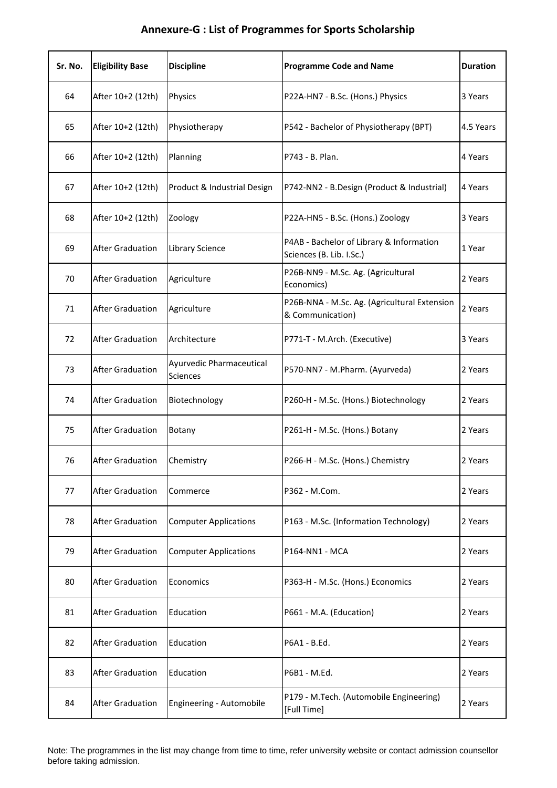| Sr. No. | <b>Eligibility Base</b> | <b>Discipline</b>                    | <b>Programme Code and Name</b>                                       | <b>Duration</b> |
|---------|-------------------------|--------------------------------------|----------------------------------------------------------------------|-----------------|
| 64      | After 10+2 (12th)       | Physics                              | P22A-HN7 - B.Sc. (Hons.) Physics                                     | 3 Years         |
| 65      | After 10+2 (12th)       | Physiotherapy                        | P542 - Bachelor of Physiotherapy (BPT)                               | 4.5 Years       |
| 66      | After 10+2 (12th)       | Planning                             | P743 - B. Plan.                                                      | 4 Years         |
| 67      | After 10+2 (12th)       | Product & Industrial Design          | P742-NN2 - B.Design (Product & Industrial)                           | 4 Years         |
| 68      | After 10+2 (12th)       | Zoology                              | P22A-HN5 - B.Sc. (Hons.) Zoology                                     | 3 Years         |
| 69      | <b>After Graduation</b> | Library Science                      | P4AB - Bachelor of Library & Information<br>Sciences (B. Lib. I.Sc.) | 1 Year          |
| 70      | <b>After Graduation</b> | Agriculture                          | P26B-NN9 - M.Sc. Ag. (Agricultural<br>Economics)                     | 2 Years         |
| 71      | <b>After Graduation</b> | Agriculture                          | P26B-NNA - M.Sc. Ag. (Agricultural Extension<br>& Communication)     | 2 Years         |
| 72      | <b>After Graduation</b> | Architecture                         | P771-T - M.Arch. (Executive)                                         | 3 Years         |
| 73      | <b>After Graduation</b> | Ayurvedic Pharmaceutical<br>Sciences | P570-NN7 - M.Pharm. (Ayurveda)                                       | 2 Years         |
| 74      | <b>After Graduation</b> | Biotechnology                        | P260-H - M.Sc. (Hons.) Biotechnology                                 | 2 Years         |
| 75      | <b>After Graduation</b> | Botany                               | P261-H - M.Sc. (Hons.) Botany                                        | 2 Years         |
| 76      | <b>After Graduation</b> | Chemistry                            | P266-H - M.Sc. (Hons.) Chemistry                                     | 2 Years         |
| 77      | <b>After Graduation</b> | Commerce                             | P362 - M.Com.                                                        | 2 Years         |
| 78      | <b>After Graduation</b> | <b>Computer Applications</b>         | P163 - M.Sc. (Information Technology)                                | 2 Years         |
| 79      | <b>After Graduation</b> | <b>Computer Applications</b>         | P164-NN1 - MCA                                                       | 2 Years         |
| 80      | <b>After Graduation</b> | Economics                            | P363-H - M.Sc. (Hons.) Economics                                     | 2 Years         |
| 81      | <b>After Graduation</b> | Education                            | P661 - M.A. (Education)                                              | 2 Years         |
| 82      | <b>After Graduation</b> | Education                            | P6A1 - B.Ed.                                                         | 2 Years         |
| 83      | <b>After Graduation</b> | Education                            | P6B1 - M.Ed.                                                         | 2 Years         |
| 84      | <b>After Graduation</b> | Engineering - Automobile             | P179 - M.Tech. (Automobile Engineering)<br>[Full Time]               | 2 Years         |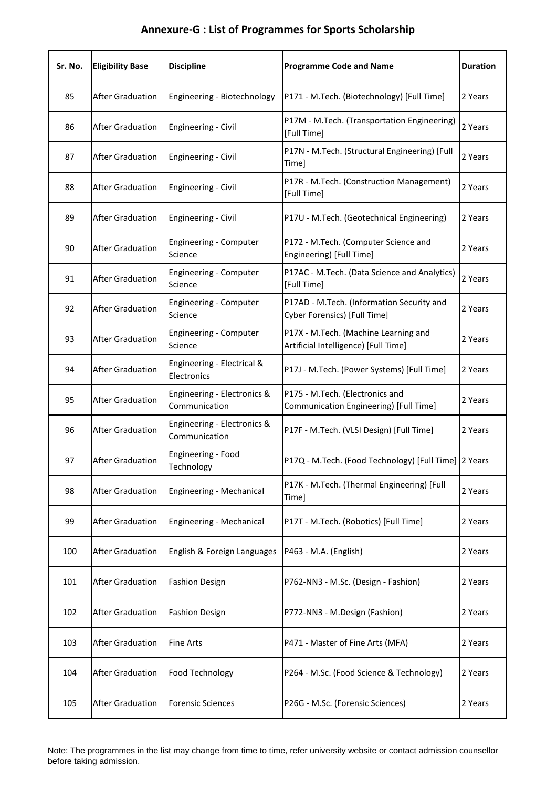| Sr. No. | <b>Eligibility Base</b> | <b>Discipline</b>                            | <b>Programme Code and Name</b>                                               | <b>Duration</b> |
|---------|-------------------------|----------------------------------------------|------------------------------------------------------------------------------|-----------------|
| 85      | <b>After Graduation</b> | Engineering - Biotechnology                  | P171 - M.Tech. (Biotechnology) [Full Time]                                   | 2 Years         |
| 86      | <b>After Graduation</b> | <b>Engineering - Civil</b>                   | P17M - M.Tech. (Transportation Engineering)<br>[Full Time]                   | 2 Years         |
| 87      | <b>After Graduation</b> | <b>Engineering - Civil</b>                   | P17N - M.Tech. (Structural Engineering) [Full<br>Time]                       | 2 Years         |
| 88      | <b>After Graduation</b> | <b>Engineering - Civil</b>                   | P17R - M.Tech. (Construction Management)<br>[Full Time]                      | 2 Years         |
| 89      | <b>After Graduation</b> | <b>Engineering - Civil</b>                   | P17U - M.Tech. (Geotechnical Engineering)                                    | 2 Years         |
| 90      | <b>After Graduation</b> | Engineering - Computer<br>Science            | P172 - M.Tech. (Computer Science and<br>Engineering) [Full Time]             | 2 Years         |
| 91      | <b>After Graduation</b> | Engineering - Computer<br>Science            | P17AC - M.Tech. (Data Science and Analytics)<br>[Full Time]                  | 2 Years         |
| 92      | <b>After Graduation</b> | Engineering - Computer<br>Science            | P17AD - M.Tech. (Information Security and<br>Cyber Forensics) [Full Time]    | 2 Years         |
| 93      | <b>After Graduation</b> | Engineering - Computer<br>Science            | P17X - M.Tech. (Machine Learning and<br>Artificial Intelligence) [Full Time] | 2 Years         |
| 94      | <b>After Graduation</b> | Engineering - Electrical &<br>Electronics    | P17J - M.Tech. (Power Systems) [Full Time]                                   | 2 Years         |
| 95      | <b>After Graduation</b> | Engineering - Electronics &<br>Communication | P175 - M.Tech. (Electronics and<br>Communication Engineering) [Full Time]    | 2 Years         |
| 96      | <b>After Graduation</b> | Engineering - Electronics &<br>Communication | P17F - M.Tech. (VLSI Design) [Full Time]                                     | 2 Years         |
| 97      | <b>After Graduation</b> | Engineering - Food<br>Technology             | P17Q - M.Tech. (Food Technology) [Full Time] 2 Years                         |                 |
| 98      | <b>After Graduation</b> | Engineering - Mechanical                     | P17K - M.Tech. (Thermal Engineering) [Full<br>Time]                          | 2 Years         |
| 99      | <b>After Graduation</b> | Engineering - Mechanical                     | P17T - M.Tech. (Robotics) [Full Time]                                        | 2 Years         |
| 100     | <b>After Graduation</b> | English & Foreign Languages                  | P463 - M.A. (English)                                                        | 2 Years         |
| 101     | <b>After Graduation</b> | <b>Fashion Design</b>                        | P762-NN3 - M.Sc. (Design - Fashion)                                          | 2 Years         |
| 102     | After Graduation        | <b>Fashion Design</b>                        | P772-NN3 - M.Design (Fashion)                                                | 2 Years         |
| 103     | <b>After Graduation</b> | <b>Fine Arts</b>                             | P471 - Master of Fine Arts (MFA)                                             | 2 Years         |
| 104     | <b>After Graduation</b> | Food Technology                              | P264 - M.Sc. (Food Science & Technology)                                     | 2 Years         |
| 105     | After Graduation        | <b>Forensic Sciences</b>                     | P26G - M.Sc. (Forensic Sciences)                                             | 2 Years         |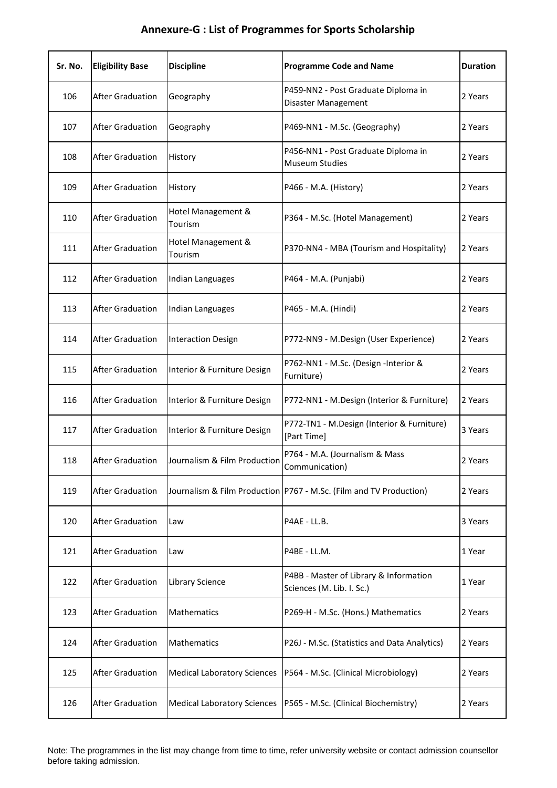| Sr. No. | <b>Eligibility Base</b> | <b>Discipline</b>                  | <b>Programme Code and Name</b>                                      | <b>Duration</b> |
|---------|-------------------------|------------------------------------|---------------------------------------------------------------------|-----------------|
| 106     | <b>After Graduation</b> | Geography                          | P459-NN2 - Post Graduate Diploma in<br>Disaster Management          | 2 Years         |
| 107     | <b>After Graduation</b> | Geography                          | P469-NN1 - M.Sc. (Geography)                                        | 2 Years         |
| 108     | <b>After Graduation</b> | History                            | P456-NN1 - Post Graduate Diploma in<br><b>Museum Studies</b>        | 2 Years         |
| 109     | <b>After Graduation</b> | History                            | P466 - M.A. (History)                                               | 2 Years         |
| 110     | <b>After Graduation</b> | Hotel Management &<br>Tourism      | P364 - M.Sc. (Hotel Management)                                     | 2 Years         |
| 111     | <b>After Graduation</b> | Hotel Management &<br>Tourism      | P370-NN4 - MBA (Tourism and Hospitality)                            | 2 Years         |
| 112     | <b>After Graduation</b> | Indian Languages                   | P464 - M.A. (Punjabi)                                               | 2 Years         |
| 113     | <b>After Graduation</b> | Indian Languages                   | P465 - M.A. (Hindi)                                                 | 2 Years         |
| 114     | <b>After Graduation</b> | <b>Interaction Design</b>          | P772-NN9 - M.Design (User Experience)                               | 2 Years         |
| 115     | <b>After Graduation</b> | Interior & Furniture Design        | P762-NN1 - M.Sc. (Design -Interior &<br>Furniture)                  | 2 Years         |
| 116     | <b>After Graduation</b> | Interior & Furniture Design        | P772-NN1 - M.Design (Interior & Furniture)                          | 2 Years         |
| 117     | <b>After Graduation</b> | Interior & Furniture Design        | P772-TN1 - M.Design (Interior & Furniture)<br>[Part Time]           | 3 Years         |
| 118     | <b>After Graduation</b> | Journalism & Film Production       | P764 - M.A. (Journalism & Mass<br>Communication)                    | 2 Years         |
| 119     | <b>After Graduation</b> |                                    | Journalism & Film Production P767 - M.Sc. (Film and TV Production)  | 2 Years         |
| 120     | <b>After Graduation</b> | Law                                | P4AE - LL.B.                                                        | 3 Years         |
| 121     | <b>After Graduation</b> | Law                                | P4BE - LL.M.                                                        | 1 Year          |
| 122     | <b>After Graduation</b> | <b>Library Science</b>             | P4BB - Master of Library & Information<br>Sciences (M. Lib. I. Sc.) | 1 Year          |
| 123     | <b>After Graduation</b> | Mathematics                        | P269-H - M.Sc. (Hons.) Mathematics                                  | 2 Years         |
| 124     | <b>After Graduation</b> | Mathematics                        | P26J - M.Sc. (Statistics and Data Analytics)                        | 2 Years         |
| 125     | <b>After Graduation</b> | <b>Medical Laboratory Sciences</b> | P564 - M.Sc. (Clinical Microbiology)                                | 2 Years         |
| 126     | <b>After Graduation</b> | <b>Medical Laboratory Sciences</b> | P565 - M.Sc. (Clinical Biochemistry)                                | 2 Years         |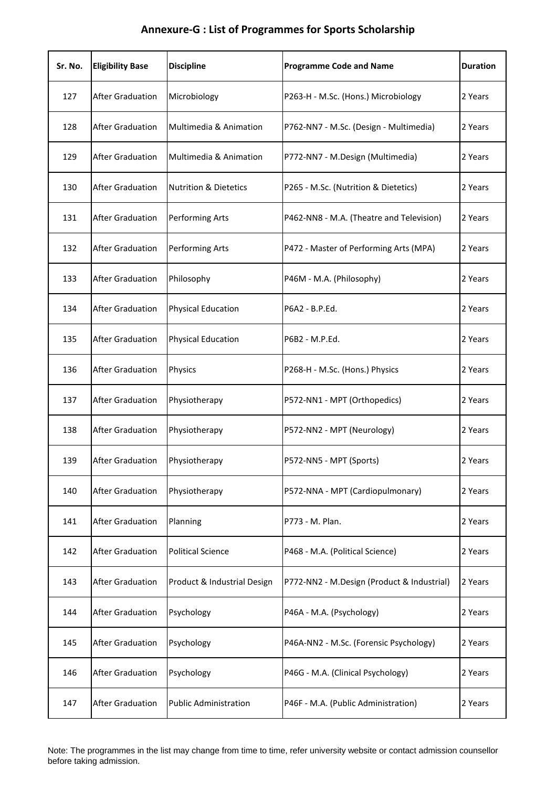| Sr. No. | <b>Eligibility Base</b> | <b>Discipline</b>                | <b>Programme Code and Name</b>             | <b>Duration</b> |
|---------|-------------------------|----------------------------------|--------------------------------------------|-----------------|
| 127     | <b>After Graduation</b> | Microbiology                     | P263-H - M.Sc. (Hons.) Microbiology        | 2 Years         |
| 128     | <b>After Graduation</b> | Multimedia & Animation           | P762-NN7 - M.Sc. (Design - Multimedia)     | 2 Years         |
| 129     | <b>After Graduation</b> | Multimedia & Animation           | P772-NN7 - M.Design (Multimedia)           | 2 Years         |
| 130     | <b>After Graduation</b> | <b>Nutrition &amp; Dietetics</b> | P265 - M.Sc. (Nutrition & Dietetics)       | 2 Years         |
| 131     | <b>After Graduation</b> | Performing Arts                  | P462-NN8 - M.A. (Theatre and Television)   | 2 Years         |
| 132     | <b>After Graduation</b> | <b>Performing Arts</b>           | P472 - Master of Performing Arts (MPA)     | 2 Years         |
| 133     | <b>After Graduation</b> | Philosophy                       | P46M - M.A. (Philosophy)                   | 2 Years         |
| 134     | <b>After Graduation</b> | <b>Physical Education</b>        | P6A2 - B.P.Ed.                             | 2 Years         |
| 135     | <b>After Graduation</b> | <b>Physical Education</b>        | P6B2 - M.P.Ed.                             | 2 Years         |
| 136     | <b>After Graduation</b> | Physics                          | P268-H - M.Sc. (Hons.) Physics             | 2 Years         |
| 137     | <b>After Graduation</b> | Physiotherapy                    | P572-NN1 - MPT (Orthopedics)               | 2 Years         |
| 138     | <b>After Graduation</b> | Physiotherapy                    | P572-NN2 - MPT (Neurology)                 | 2 Years         |
| 139     | <b>After Graduation</b> | Physiotherapy                    | P572-NN5 - MPT (Sports)                    | 2 Years         |
| 140     | <b>After Graduation</b> | Physiotherapy                    | P572-NNA - MPT (Cardiopulmonary)           | 2 Years         |
| 141     | <b>After Graduation</b> | Planning                         | P773 - M. Plan.                            | 2 Years         |
| 142     | <b>After Graduation</b> | <b>Political Science</b>         | P468 - M.A. (Political Science)            | 2 Years         |
| 143     | <b>After Graduation</b> | Product & Industrial Design      | P772-NN2 - M.Design (Product & Industrial) | 2 Years         |
| 144     | <b>After Graduation</b> | Psychology                       | P46A - M.A. (Psychology)                   | 2 Years         |
| 145     | <b>After Graduation</b> | Psychology                       | P46A-NN2 - M.Sc. (Forensic Psychology)     | 2 Years         |
| 146     | <b>After Graduation</b> | Psychology                       | P46G - M.A. (Clinical Psychology)          | 2 Years         |
| 147     | <b>After Graduation</b> | <b>Public Administration</b>     | P46F - M.A. (Public Administration)        | 2 Years         |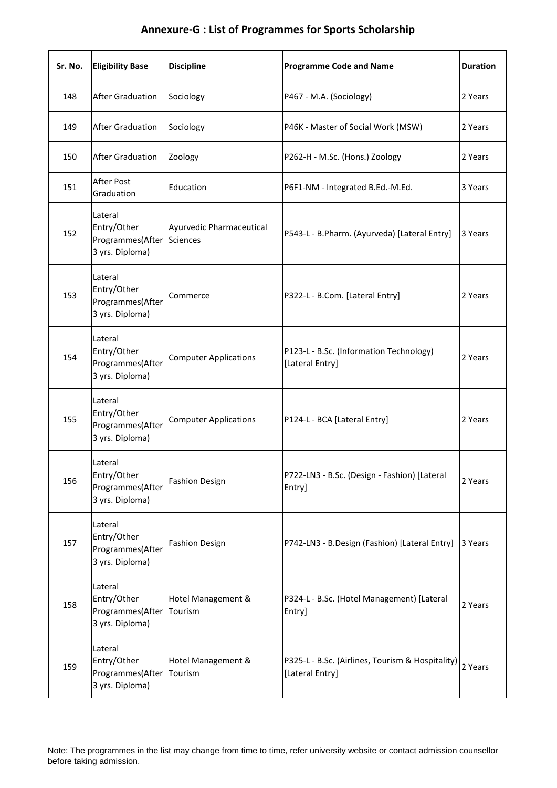| Sr. No. | <b>Eligibility Base</b>                                       | <b>Discipline</b>                           | <b>Programme Code and Name</b>                                      | <b>Duration</b> |
|---------|---------------------------------------------------------------|---------------------------------------------|---------------------------------------------------------------------|-----------------|
| 148     | <b>After Graduation</b>                                       | Sociology                                   | P467 - M.A. (Sociology)                                             | 2 Years         |
| 149     | <b>After Graduation</b>                                       | Sociology                                   | P46K - Master of Social Work (MSW)                                  | 2 Years         |
| 150     | <b>After Graduation</b>                                       | Zoology                                     | P262-H - M.Sc. (Hons.) Zoology                                      | 2 Years         |
| 151     | After Post<br>Graduation                                      | Education                                   | P6F1-NM - Integrated B.Ed.-M.Ed.                                    | 3 Years         |
| 152     | Lateral<br>Entry/Other<br>Programmes(After<br>3 yrs. Diploma) | Ayurvedic Pharmaceutical<br><b>Sciences</b> | P543-L - B.Pharm. (Ayurveda) [Lateral Entry]                        | 3 Years         |
| 153     | Lateral<br>Entry/Other<br>Programmes(After<br>3 yrs. Diploma) | Commerce                                    | P322-L - B.Com. [Lateral Entry]                                     | 2 Years         |
| 154     | Lateral<br>Entry/Other<br>Programmes(After<br>3 yrs. Diploma) | <b>Computer Applications</b>                | P123-L - B.Sc. (Information Technology)<br>[Lateral Entry]          | 2 Years         |
| 155     | Lateral<br>Entry/Other<br>Programmes(After<br>3 yrs. Diploma) | <b>Computer Applications</b>                | P124-L - BCA [Lateral Entry]                                        | 2 Years         |
| 156     | Lateral<br>Entry/Other<br>Programmes(After<br>3 yrs. Diploma) | <b>Fashion Design</b>                       | P722-LN3 - B.Sc. (Design - Fashion) [Lateral<br>Entry]              | 2 Years         |
| 157     | Lateral<br>Entry/Other<br>Programmes(After<br>3 yrs. Diploma) | <b>Fashion Design</b>                       | P742-LN3 - B.Design (Fashion) [Lateral Entry]                       | 3 Years         |
| 158     | Lateral<br>Entry/Other<br>Programmes(After<br>3 yrs. Diploma) | Hotel Management &<br>Tourism               | P324-L - B.Sc. (Hotel Management) [Lateral<br>Entry]                | 2 Years         |
| 159     | Lateral<br>Entry/Other<br>Programmes(After<br>3 yrs. Diploma) | Hotel Management &<br>Tourism               | P325-L - B.Sc. (Airlines, Tourism & Hospitality)<br>[Lateral Entry] | 2 Years         |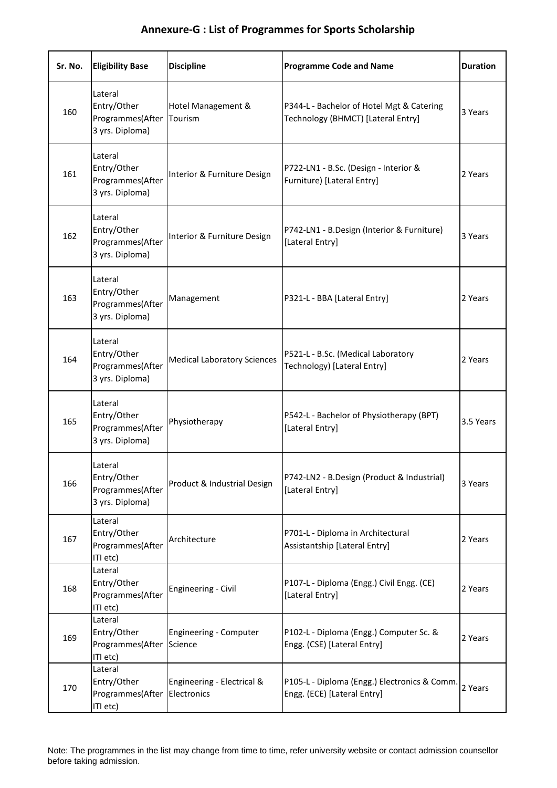| Sr. No. | <b>Eligibility Base</b>                                       | <b>Discipline</b>                         | <b>Programme Code and Name</b>                                                  | <b>Duration</b> |
|---------|---------------------------------------------------------------|-------------------------------------------|---------------------------------------------------------------------------------|-----------------|
| 160     | Lateral<br>Entry/Other<br>Programmes(After<br>3 yrs. Diploma) | Hotel Management &<br>Tourism             | P344-L - Bachelor of Hotel Mgt & Catering<br>Technology (BHMCT) [Lateral Entry] | 3 Years         |
| 161     | Lateral<br>Entry/Other<br>Programmes(After<br>3 yrs. Diploma) | Interior & Furniture Design               | P722-LN1 - B.Sc. (Design - Interior &<br>Furniture) [Lateral Entry]             | 2 Years         |
| 162     | Lateral<br>Entry/Other<br>Programmes(After<br>3 yrs. Diploma) | Interior & Furniture Design               | P742-LN1 - B.Design (Interior & Furniture)<br>[Lateral Entry]                   | 3 Years         |
| 163     | Lateral<br>Entry/Other<br>Programmes(After<br>3 yrs. Diploma) | Management                                | P321-L - BBA [Lateral Entry]                                                    | 2 Years         |
| 164     | Lateral<br>Entry/Other<br>Programmes(After<br>3 yrs. Diploma) | <b>Medical Laboratory Sciences</b>        | P521-L - B.Sc. (Medical Laboratory<br>Technology) [Lateral Entry]               | 2 Years         |
| 165     | Lateral<br>Entry/Other<br>Programmes(After<br>3 yrs. Diploma) | Physiotherapy                             | P542-L - Bachelor of Physiotherapy (BPT)<br>[Lateral Entry]                     | 3.5 Years       |
| 166     | Lateral<br>Entry/Other<br>Programmes(After<br>3 yrs. Diploma) | Product & Industrial Design               | P742-LN2 - B.Design (Product & Industrial)<br>[Lateral Entry]                   | 3 Years         |
| 167     | Lateral<br>Entry/Other<br>Programmes(After<br>ITI etc)        | Architecture                              | P701-L - Diploma in Architectural<br>Assistantship [Lateral Entry]              | 2 Years         |
| 168     | Lateral<br>Entry/Other<br>Programmes(After<br>ITI etc)        | Engineering - Civil                       | P107-L - Diploma (Engg.) Civil Engg. (CE)<br>[Lateral Entry]                    | 2 Years         |
| 169     | Lateral<br>Entry/Other<br>Programmes(After<br>ITI etc)        | <b>Engineering - Computer</b><br>Science  | P102-L - Diploma (Engg.) Computer Sc. &<br>Engg. (CSE) [Lateral Entry]          | 2 Years         |
| 170     | Lateral<br>Entry/Other<br>Programmes(After<br>ITI etc)        | Engineering - Electrical &<br>Electronics | P105-L - Diploma (Engg.) Electronics & Comm.<br>Engg. (ECE) [Lateral Entry]     | 2 Years         |